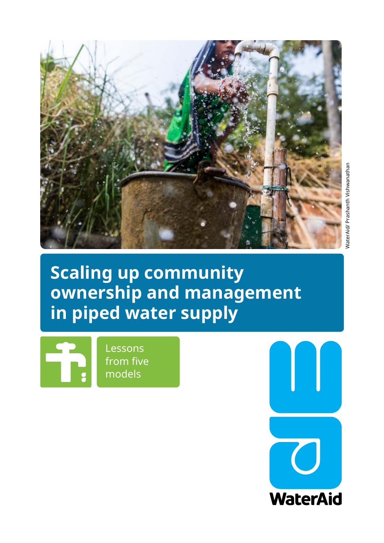

**Scaling up community ownership and management in piped water supply** 

Lessons from five models

**WaterAid**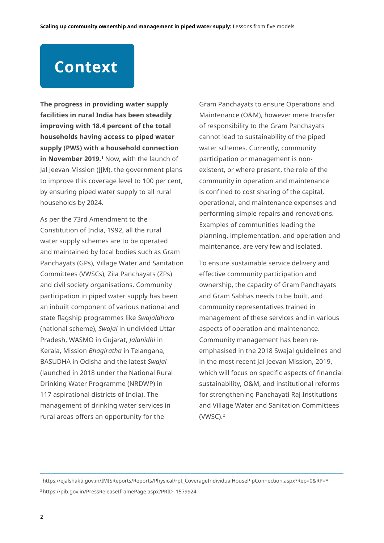# **Context**

**The progress in providing water supply facilities in rural India has been steadily improving with 18.4 percent of the total households having access to piped water supply (PWS) with a household connection**  in November 2019.<sup>1</sup> Now, with the launch of Jal Jeevan Mission (JJM), the government plans to improve this coverage level to 100 per cent, by ensuring piped water supply to all rural households by 2024.

As per the 73rd Amendment to the Constitution of India, 1992, all the rural water supply schemes are to be operated and maintained by local bodies such as Gram Panchayats (GPs), Village Water and Sanitation Committees (VWSCs), Zila Panchayats (ZPs) and civil society organisations. Community participation in piped water supply has been an inbuilt component of various national and state flagship programmes like *Swajaldhara* (national scheme), *Swajal* in undivided Uttar Pradesh, WASMO in Gujarat, *Jalanidhi* in Kerala, Mission *Bhagiratha* in Telangana, BASUDHA in Odisha and the latest *Swajal* (launched in 2018 under the National Rural Drinking Water Programme (NRDWP) in 117 aspirational districts of India). The management of drinking water services in rural areas offers an opportunity for the

Gram Panchayats to ensure Operations and Maintenance (O&M), however mere transfer of responsibility to the Gram Panchayats cannot lead to sustainability of the piped water schemes. Currently, community participation or management is nonexistent, or where present, the role of the community in operation and maintenance is confined to cost sharing of the capital, operational, and maintenance expenses and performing simple repairs and renovations. Examples of communities leading the planning, implementation, and operation and maintenance, are very few and isolated.

To ensure sustainable service delivery and effective community participation and ownership, the capacity of Gram Panchayats and Gram Sabhas needs to be built, and community representatives trained in management of these services and in various aspects of operation and maintenance. Community management has been reemphasised in the 2018 Swajal guidelines and in the most recent Jal Jeevan Mission, 2019, which will focus on specific aspects of financial sustainability, O&M, and institutional reforms for strengthening Panchayati Raj Institutions and Village Water and Sanitation Committees (VWSC).<sup>2</sup>

2 https://pib.gov.in/PressReleaseIframePage.aspx?PRID=1579924

<sup>1</sup> https://ejalshakti.gov.in/IMISReports/Reports/Physical/rpt\_CoverageIndividualHousePipConnection.aspx?Rep=0&RP=Y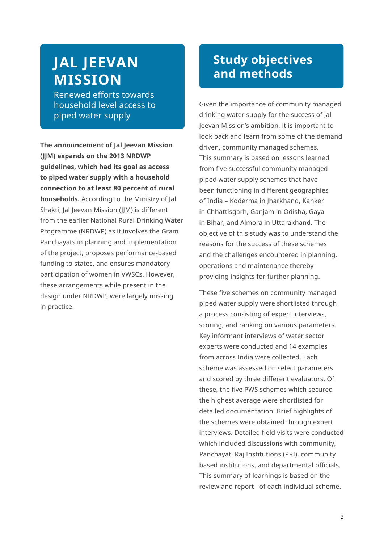## **JAL JEEVAN MISSION**

Renewed efforts towards household level access to piped water supply

**The announcement of Jal Jeevan Mission (JJM) expands on the 2013 NRDWP guidelines, which had its goal as access to piped water supply with a household connection to at least 80 percent of rural households.** According to the Ministry of Jal Shakti, Jal Jeevan Mission (JJM) is different from the earlier National Rural Drinking Water Programme (NRDWP) as it involves the Gram Panchayats in planning and implementation of the project, proposes performance-based funding to states, and ensures mandatory participation of women in VWSCs. However, these arrangements while present in the design under NRDWP, were largely missing in practice.

## **Study objectives and methods**

Given the importance of community managed drinking water supply for the success of Jal Jeevan Mission's ambition, it is important to look back and learn from some of the demand driven, community managed schemes. This summary is based on lessons learned from five successful community managed piped water supply schemes that have been functioning in different geographies of India – Koderma in Jharkhand, Kanker in Chhattisgarh, Ganjam in Odisha, Gaya in Bihar, and Almora in Uttarakhand. The objective of this study was to understand the reasons for the success of these schemes and the challenges encountered in planning, operations and maintenance thereby providing insights for further planning.

These five schemes on community managed piped water supply were shortlisted through a process consisting of expert interviews, scoring, and ranking on various parameters. Key informant interviews of water sector experts were conducted and 14 examples from across India were collected. Each scheme was assessed on select parameters and scored by three different evaluators. Of these, the five PWS schemes which secured the highest average were shortlisted for detailed documentation. Brief highlights of the schemes were obtained through expert interviews. Detailed field visits were conducted which included discussions with community, Panchayati Raj Institutions (PRI), community based institutions, and departmental officials. This summary of learnings is based on the review and report of each individual scheme.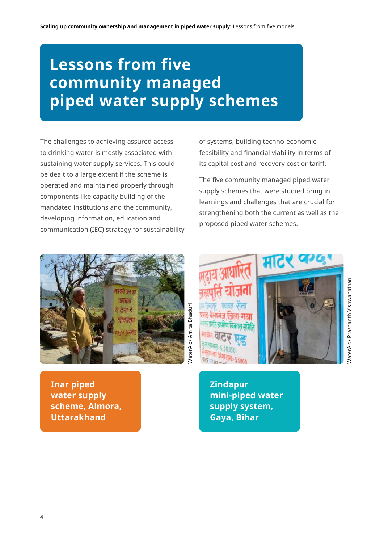# **Lessons from five community managed piped water supply schemes**

The challenges to achieving assured access to drinking water is mostly associated with sustaining water supply services. This could be dealt to a large extent if the scheme is operated and maintained properly through components like capacity building of the mandated institutions and the community, developing information, education and communication (IEC) strategy for sustainability



**Inar piped water supply scheme, Almora, Uttarakhand** 

of systems, building techno-economic feasibility and financial viability in terms of its capital cost and recovery cost or tariff.

The five community managed piped water supply schemes that were studied bring in learnings and challenges that are crucial for strengthening both the current as well as the proposed piped water schemes.



**Zindapur mini-piped water supply system, Gaya, Bihar**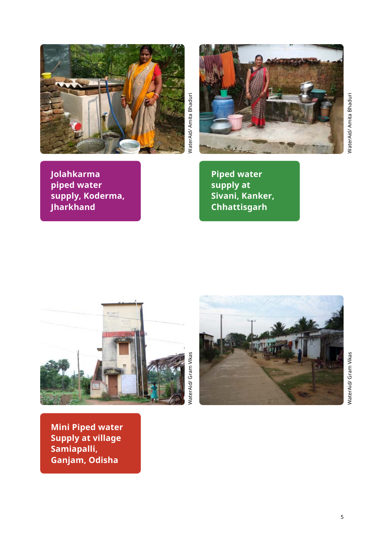



**Jolahkarma piped water** 

**Jharkhand**

**supply, Koderma,** 

NaterAid/ Amita Bhaduri WaterAid/ Amita Bhaduri

**Piped water supply at Sivani, Kanker, Chhattisgarh**

NaterAid/ Gram Vikas WaterAid/ Gram Vikas



WaterAid/ Gram Vikas WaterAid/ Gram Vikas

**Mini Piped water Supply at village Samiapalli, Ganjam, Odisha**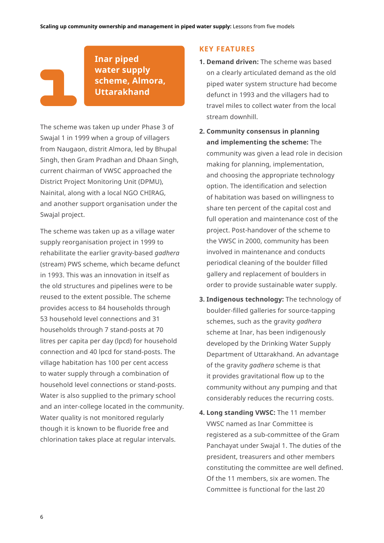**Inar piped water supply scheme, Almora, Uttarakhand** 

The scheme was taken up under Phase 3 of Swajal 1 in 1999 when a group of villagers from Naugaon, distrit Almora, led by Bhupal Singh, then Gram Pradhan and Dhaan Singh, current chairman of VWSC approached the District Project Monitoring Unit (DPMU), Nainital, along with a local NGO CHIRAG, and another support organisation under the Swajal project.

The scheme was taken up as a village water supply reorganisation project in 1999 to rehabilitate the earlier gravity-based *gadhera* (stream) PWS scheme, which became defunct in 1993. This was an innovation in itself as the old structures and pipelines were to be reused to the extent possible. The scheme provides access to 84 households through 53 household level connections and 31 households through 7 stand-posts at 70 litres per capita per day (lpcd) for household connection and 40 lpcd for stand-posts. The village habitation has 100 per cent access to water supply through a combination of household level connections or stand-posts. Water is also supplied to the primary school and an inter-college located in the community. Water quality is not monitored regularly though it is known to be fluoride free and chlorination takes place at regular intervals.

### **KEY FEATURES**

- **1. Demand driven:** The scheme was based on a clearly articulated demand as the old piped water system structure had become defunct in 1993 and the villagers had to travel miles to collect water from the local stream downhill.
- **2. Community consensus in planning and implementing the scheme:** The community was given a lead role in decision making for planning, implementation, and choosing the appropriate technology option. The identification and selection of habitation was based on willingness to share ten percent of the capital cost and full operation and maintenance cost of the project. Post-handover of the scheme to the VWSC in 2000, community has been involved in maintenance and conducts periodical cleaning of the boulder filled gallery and replacement of boulders in order to provide sustainable water supply.
- **3. Indigenous technology:** The technology of boulder-filled galleries for source-tapping schemes, such as the gravity *gadhera* scheme at Inar, has been indigenously developed by the Drinking Water Supply Department of Uttarakhand. An advantage of the gravity *gadhera* scheme is that it provides gravitational flow up to the community without any pumping and that considerably reduces the recurring costs.
- **4. Long standing VWSC:** The 11 member VWSC named as Inar Committee is registered as a sub-committee of the Gram Panchayat under Swajal 1. The duties of the president, treasurers and other members constituting the committee are well defined. Of the 11 members, six are women. The Committee is functional for the last 20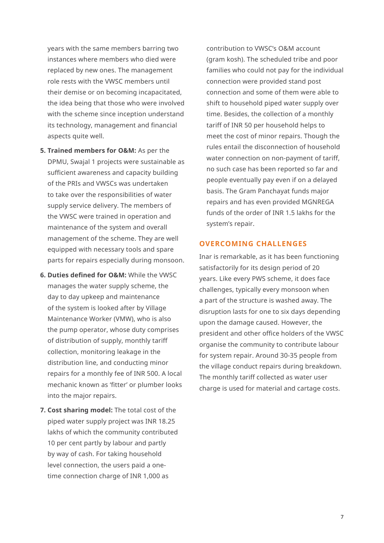years with the same members barring two instances where members who died were replaced by new ones. The management role rests with the VWSC members until their demise or on becoming incapacitated, the idea being that those who were involved with the scheme since inception understand its technology, management and financial aspects quite well.

- **5. Trained members for O&M:** As per the DPMU, Swajal 1 projects were sustainable as sufficient awareness and capacity building of the PRIs and VWSCs was undertaken to take over the responsibilities of water supply service delivery. The members of the VWSC were trained in operation and maintenance of the system and overall management of the scheme. They are well equipped with necessary tools and spare parts for repairs especially during monsoon.
- **6. Duties defined for O&M:** While the VWSC manages the water supply scheme, the day to day upkeep and maintenance of the system is looked after by Village Maintenance Worker (VMW), who is also the pump operator, whose duty comprises of distribution of supply, monthly tariff collection, monitoring leakage in the distribution line, and conducting minor repairs for a monthly fee of INR 500. A local mechanic known as 'fitter' or plumber looks into the major repairs.
- **7. Cost sharing model:** The total cost of the piped water supply project was INR 18.25 lakhs of which the community contributed 10 per cent partly by labour and partly by way of cash. For taking household level connection, the users paid a onetime connection charge of INR 1,000 as

contribution to VWSC's O&M account (gram kosh). The scheduled tribe and poor families who could not pay for the individual connection were provided stand post connection and some of them were able to shift to household piped water supply over time. Besides, the collection of a monthly tariff of INR 50 per household helps to meet the cost of minor repairs. Though the rules entail the disconnection of household water connection on non-payment of tariff, no such case has been reported so far and people eventually pay even if on a delayed basis. The Gram Panchayat funds major repairs and has even provided MGNREGA funds of the order of INR 1.5 lakhs for the system's repair.

## **OVERCOMING CHALLENGES**

Inar is remarkable, as it has been functioning satisfactorily for its design period of 20 years. Like every PWS scheme, it does face challenges, typically every monsoon when a part of the structure is washed away. The disruption lasts for one to six days depending upon the damage caused. However, the president and other office holders of the VWSC organise the community to contribute labour for system repair. Around 30-35 people from the village conduct repairs during breakdown. The monthly tariff collected as water user charge is used for material and cartage costs.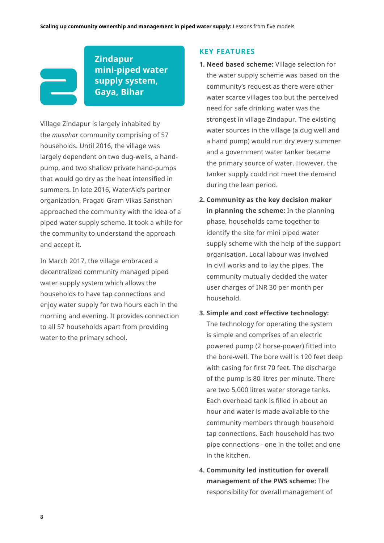

**Zindapur mini-piped water supply system, Gaya, Bihar**

Village Zindapur is largely inhabited by the *musahar* community comprising of 57 households. Until 2016, the village was largely dependent on two dug-wells, a handpump, and two shallow private hand-pumps that would go dry as the heat intensified in summers. In late 2016, WaterAid's partner organization, Pragati Gram Vikas Sansthan approached the community with the idea of a piped water supply scheme. It took a while for the community to understand the approach and accept it.

In March 2017, the village embraced a decentralized community managed piped water supply system which allows the households to have tap connections and enjoy water supply for two hours each in the morning and evening. It provides connection to all 57 households apart from providing water to the primary school.

#### **KEY FEATURES**

- **1. Need based scheme:** Village selection for the water supply scheme was based on the community's request as there were other water scarce villages too but the perceived need for safe drinking water was the strongest in village Zindapur. The existing water sources in the village (a dug well and a hand pump) would run dry every summer and a government water tanker became the primary source of water. However, the tanker supply could not meet the demand during the lean period.
- **2. Community as the key decision maker in planning the scheme:** In the planning phase, households came together to identify the site for mini piped water supply scheme with the help of the support organisation. Local labour was involved in civil works and to lay the pipes. The community mutually decided the water user charges of INR 30 per month per household.

#### **3. Simple and cost effective technology:**

The technology for operating the system is simple and comprises of an electric powered pump (2 horse-power) fitted into the bore-well. The bore well is 120 feet deep with casing for first 70 feet. The discharge of the pump is 80 litres per minute. There are two 5,000 litres water storage tanks. Each overhead tank is filled in about an hour and water is made available to the community members through household tap connections. Each household has two pipe connections - one in the toilet and one in the kitchen.

**4. Community led institution for overall management of the PWS scheme:** The responsibility for overall management of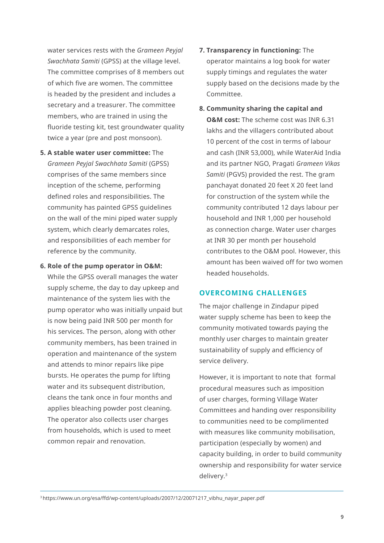water services rests with the *Grameen Peyjal Swachhata Samiti* (GPSS) at the village level. The committee comprises of 8 members out of which five are women. The committee is headed by the president and includes a secretary and a treasurer. The committee members, who are trained in using the fluoride testing kit, test groundwater quality twice a year (pre and post monsoon).

- **5. A stable water user committee:** The *Grameen Peyjal Swachhata Samiti* (GPSS) comprises of the same members since inception of the scheme, performing defined roles and responsibilities. The community has painted GPSS guidelines on the wall of the mini piped water supply system, which clearly demarcates roles, and responsibilities of each member for reference by the community.
- **6. Role of the pump operator in O&M:**  While the GPSS overall manages the water supply scheme, the day to day upkeep and maintenance of the system lies with the pump operator who was initially unpaid but is now being paid INR 500 per month for his services. The person, along with other community members, has been trained in operation and maintenance of the system and attends to minor repairs like pipe bursts. He operates the pump for lifting water and its subsequent distribution. cleans the tank once in four months and applies bleaching powder post cleaning. The operator also collects user charges from households, which is used to meet common repair and renovation.
- **7. Transparency in functioning:** The operator maintains a log book for water supply timings and regulates the water supply based on the decisions made by the Committee.
- **8. Community sharing the capital and O&M cost:** The scheme cost was INR 6.31 lakhs and the villagers contributed about 10 percent of the cost in terms of labour and cash (INR 53,000), while WaterAid India and its partner NGO, Pragati *Grameen Vikas Samiti* (PGVS) provided the rest. The gram panchayat donated 20 feet X 20 feet land for construction of the system while the community contributed 12 days labour per household and INR 1,000 per household as connection charge. Water user charges at INR 30 per month per household contributes to the O&M pool. However, this amount has been waived off for two women headed households.

## **OVERCOMING CHALLENGES**

The major challenge in Zindapur piped water supply scheme has been to keep the community motivated towards paying the monthly user charges to maintain greater sustainability of supply and efficiency of service delivery.

However, it is important to note that formal procedural measures such as imposition of user charges, forming Village Water Committees and handing over responsibility to communities need to be complimented with measures like community mobilisation, participation (especially by women) and capacity building, in order to build community ownership and responsibility for water service delivery.3

<sup>3</sup> https://www.un.org/esa/ffd/wp-content/uploads/2007/12/20071217\_vibhu\_nayar\_paper.pdf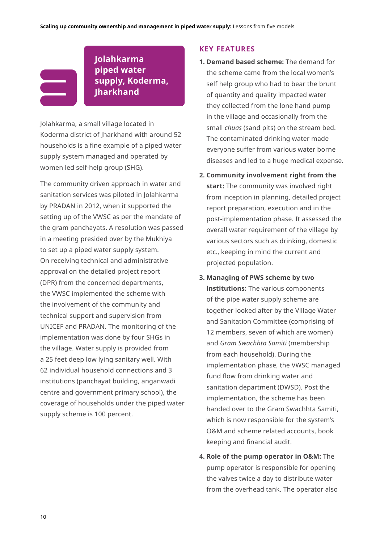## **Jolahkarma piped water supply, Koderma, Jharkhand**

Jolahkarma, a small village located in Koderma district of Jharkhand with around 52 households is a fine example of a piped water supply system managed and operated by women led self-help group (SHG).

The community driven approach in water and sanitation services was piloted in Jolahkarma by PRADAN in 2012, when it supported the setting up of the VWSC as per the mandate of the gram panchayats. A resolution was passed in a meeting presided over by the Mukhiya to set up a piped water supply system. On receiving technical and administrative approval on the detailed project report (DPR) from the concerned departments, the VWSC implemented the scheme with the involvement of the community and technical support and supervision from UNICEF and PRADAN. The monitoring of the implementation was done by four SHGs in the village. Water supply is provided from a 25 feet deep low lying sanitary well. With 62 individual household connections and 3 institutions (panchayat building, anganwadi centre and government primary school), the coverage of households under the piped water supply scheme is 100 percent.

### **KEY FEATURES**

- **1. Demand based scheme:** The demand for the scheme came from the local women's self help group who had to bear the brunt of quantity and quality impacted water they collected from the lone hand pump in the village and occasionally from the small *chuas* (sand pits) on the stream bed. The contaminated drinking water made everyone suffer from various water borne diseases and led to a huge medical expense.
- **2. Community involvement right from the start:** The community was involved right from inception in planning, detailed project report preparation, execution and in the post-implementation phase. It assessed the overall water requirement of the village by various sectors such as drinking, domestic etc., keeping in mind the current and projected population.
- **3. Managing of PWS scheme by two institutions:** The various components of the pipe water supply scheme are together looked after by the Village Water and Sanitation Committee (comprising of 12 members, seven of which are women) and *Gram Swachhta Samiti* (membership from each household). During the implementation phase, the VWSC managed fund flow from drinking water and sanitation department (DWSD). Post the implementation, the scheme has been handed over to the Gram Swachhta Samiti, which is now responsible for the system's O&M and scheme related accounts, book keeping and financial audit.
- **4. Role of the pump operator in O&M:** The pump operator is responsible for opening the valves twice a day to distribute water from the overhead tank. The operator also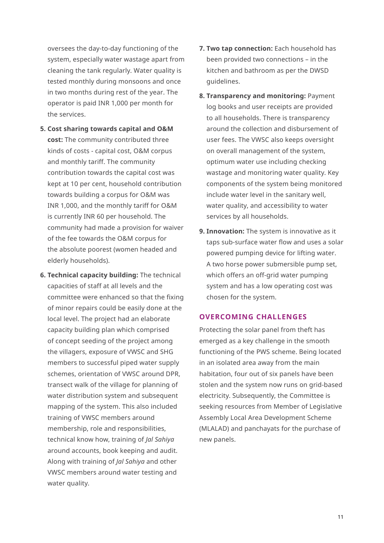oversees the day-to-day functioning of the system, especially water wastage apart from cleaning the tank regularly. Water quality is tested monthly during monsoons and once in two months during rest of the year. The operator is paid INR 1,000 per month for the services.

- **5. Cost sharing towards capital and O&M cost:** The community contributed three kinds of costs - capital cost, O&M corpus and monthly tariff. The community contribution towards the capital cost was kept at 10 per cent, household contribution towards building a corpus for O&M was INR 1,000, and the monthly tariff for O&M is currently INR 60 per household. The community had made a provision for waiver of the fee towards the O&M corpus for the absolute poorest (women headed and elderly households).
- **6. Technical capacity building:** The technical capacities of staff at all levels and the committee were enhanced so that the fixing of minor repairs could be easily done at the local level. The project had an elaborate capacity building plan which comprised of concept seeding of the project among the villagers, exposure of VWSC and SHG members to successful piped water supply schemes, orientation of VWSC around DPR, transect walk of the village for planning of water distribution system and subsequent mapping of the system. This also included training of VWSC members around membership, role and responsibilities, technical know how, training of *Jal Sahiya*  around accounts, book keeping and audit. Along with training of *Jal Sahiya* and other VWSC members around water testing and water quality.
- **7. Two tap connection:** Each household has been provided two connections – in the kitchen and bathroom as per the DWSD guidelines.
- **8. Transparency and monitoring:** Payment log books and user receipts are provided to all households. There is transparency around the collection and disbursement of user fees. The VWSC also keeps oversight on overall management of the system, optimum water use including checking wastage and monitoring water quality. Key components of the system being monitored include water level in the sanitary well, water quality, and accessibility to water services by all households.
- **9. Innovation:** The system is innovative as it taps sub-surface water flow and uses a solar powered pumping device for lifting water. A two horse power submersible pump set, which offers an off-grid water pumping system and has a low operating cost was chosen for the system.

## **OVERCOMING CHALLENGES**

Protecting the solar panel from theft has emerged as a key challenge in the smooth functioning of the PWS scheme. Being located in an isolated area away from the main habitation, four out of six panels have been stolen and the system now runs on grid-based electricity. Subsequently, the Committee is seeking resources from Member of Legislative Assembly Local Area Development Scheme (MLALAD) and panchayats for the purchase of new panels.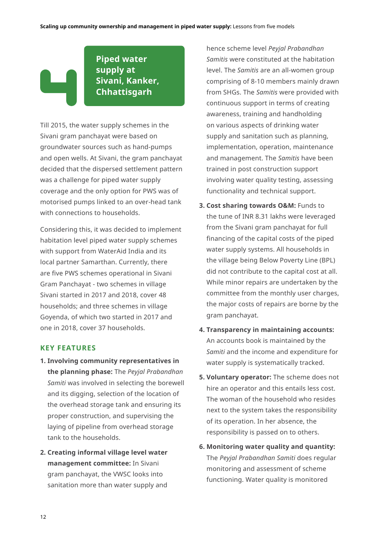## **Piped water supply at Sivani, Kanker, Chhattisgarh**

Till 2015, the water supply schemes in the Sivani gram panchayat were based on groundwater sources such as hand-pumps and open wells. At Sivani, the gram panchayat decided that the dispersed settlement pattern was a challenge for piped water supply coverage and the only option for PWS was of motorised pumps linked to an over-head tank with connections to households.

Considering this, it was decided to implement habitation level piped water supply schemes with support from WaterAid India and its local partner Samarthan. Currently, there are five PWS schemes operational in Sivani Gram Panchayat - two schemes in village Sivani started in 2017 and 2018, cover 48 households; and three schemes in village Goyenda, of which two started in 2017 and one in 2018, cover 37 households.

## **KEY FEATURES**

- **1. Involving community representatives in the planning phase:** The *Peyjal Prabandhan Samiti* was involved in selecting the borewell and its digging, selection of the location of the overhead storage tank and ensuring its proper construction, and supervising the laying of pipeline from overhead storage tank to the households.
- **2. Creating informal village level water management committee:** In Sivani gram panchayat, the VWSC looks into sanitation more than water supply and

hence scheme level *Peyjal Prabandhan Samitis* were constituted at the habitation level. The *Samitis* are an all-women group comprising of 8-10 members mainly drawn from SHGs. The *Samitis* were provided with continuous support in terms of creating awareness, training and handholding on various aspects of drinking water supply and sanitation such as planning, implementation, operation, maintenance and management. The *Samitis* have been trained in post construction support involving water quality testing, assessing functionality and technical support.

- **3. Cost sharing towards O&M:** Funds to the tune of INR 8.31 lakhs were leveraged from the Sivani gram panchayat for full financing of the capital costs of the piped water supply systems. All households in the village being Below Poverty Line (BPL) did not contribute to the capital cost at all. While minor repairs are undertaken by the committee from the monthly user charges, the major costs of repairs are borne by the gram panchayat.
- **4. Transparency in maintaining accounts:**  An accounts book is maintained by the *Samiti* and the income and expenditure for water supply is systematically tracked.
- **5. Voluntary operator:** The scheme does not hire an operator and this entails less cost. The woman of the household who resides next to the system takes the responsibility of its operation. In her absence, the responsibility is passed on to others.
- **6. Monitoring water quality and quantity:**  The *Peyjal Prabandhan Samiti* does regular monitoring and assessment of scheme functioning. Water quality is monitored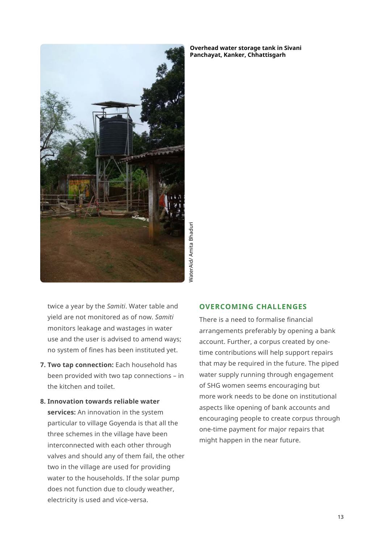

NaterAid/ Amita Bhaduri WaterAid/ Amita Bhaduri

twice a year by the *Samiti*. Water table and yield are not monitored as of now. *Samiti* monitors leakage and wastages in water use and the user is advised to amend ways; no system of fines has been instituted yet.

- **7. Two tap connection:** Each household has been provided with two tap connections – in the kitchen and toilet.
- **8. Innovation towards reliable water services:** An innovation in the system particular to village Goyenda is that all the three schemes in the village have been interconnected with each other through valves and should any of them fail, the other two in the village are used for providing water to the households. If the solar pump does not function due to cloudy weather, electricity is used and vice-versa.

#### **OVERCOMING CHALLENGES**

There is a need to formalise financial arrangements preferably by opening a bank account. Further, a corpus created by onetime contributions will help support repairs that may be required in the future. The piped water supply running through engagement of SHG women seems encouraging but more work needs to be done on institutional aspects like opening of bank accounts and encouraging people to create corpus through one-time payment for major repairs that might happen in the near future.

**Overhead water storage tank in Sivani Panchayat, Kanker, Chhattisgarh**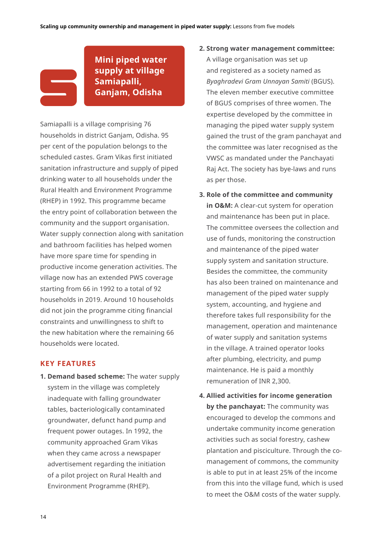

## **Mini piped water supply at village Samiapalli, Ganjam, Odisha**

Samiapalli is a village comprising 76 households in district Ganjam, Odisha. 95 per cent of the population belongs to the scheduled castes. Gram Vikas first initiated sanitation infrastructure and supply of piped drinking water to all households under the Rural Health and Environment Programme (RHEP) in 1992. This programme became the entry point of collaboration between the community and the support organisation. Water supply connection along with sanitation and bathroom facilities has helped women have more spare time for spending in productive income generation activities. The village now has an extended PWS coverage starting from 66 in 1992 to a total of 92 households in 2019. Around 10 households did not join the programme citing financial constraints and unwillingness to shift to the new habitation where the remaining 66 households were located.

## **KEY FEATURES**

**1. Demand based scheme:** The water supply system in the village was completely inadequate with falling groundwater tables, bacteriologically contaminated groundwater, defunct hand pump and frequent power outages. In 1992, the community approached Gram Vikas when they came across a newspaper advertisement regarding the initiation of a pilot project on Rural Health and Environment Programme (RHEP).

- **2. Strong water management committee:** A village organisation was set up and registered as a society named as *Byaghradevi Gram Unnayan Samiti* (BGUS). The eleven member executive committee of BGUS comprises of three women. The expertise developed by the committee in managing the piped water supply system gained the trust of the gram panchayat and the committee was later recognised as the VWSC as mandated under the Panchayati Raj Act. The society has bye-laws and runs as per those.
- **3. Role of the committee and community in O&M:** A clear-cut system for operation and maintenance has been put in place. The committee oversees the collection and use of funds, monitoring the construction and maintenance of the piped water supply system and sanitation structure. Besides the committee, the community has also been trained on maintenance and management of the piped water supply system, accounting, and hygiene and therefore takes full responsibility for the management, operation and maintenance of water supply and sanitation systems in the village. A trained operator looks after plumbing, electricity, and pump maintenance. He is paid a monthly remuneration of INR 2,300.
- **4. Allied activities for income generation by the panchayat:** The community was encouraged to develop the commons and undertake community income generation activities such as social forestry, cashew plantation and pisciculture. Through the comanagement of commons, the community is able to put in at least 25% of the income from this into the village fund, which is used to meet the O&M costs of the water supply.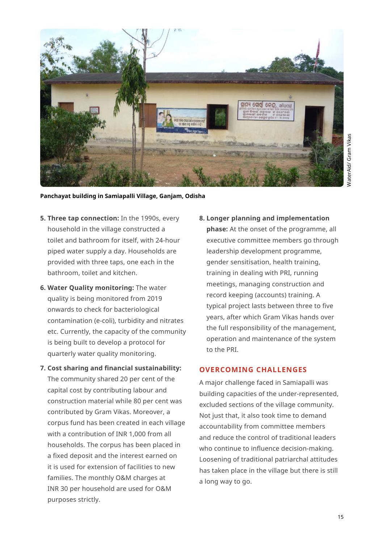

**Panchayat building in Samiapalli Village, Ganjam, Odisha**

- **5. Three tap connection:** In the 1990s, every household in the village constructed a toilet and bathroom for itself, with 24-hour piped water supply a day. Households are provided with three taps, one each in the bathroom, toilet and kitchen.
- **6. Water Quality monitoring:** The water quality is being monitored from 2019 onwards to check for bacteriological contamination (e-coli), turbidity and nitrates etc. Currently, the capacity of the community is being built to develop a protocol for quarterly water quality monitoring.

## **7. Cost sharing and financial sustainability:** The community shared 20 per cent of the

capital cost by contributing labour and construction material while 80 per cent was contributed by Gram Vikas. Moreover, a corpus fund has been created in each village with a contribution of INR 1,000 from all households. The corpus has been placed in a fixed deposit and the interest earned on it is used for extension of facilities to new families. The monthly O&M charges at INR 30 per household are used for O&M purposes strictly.

## **8. Longer planning and implementation**

**phase:** At the onset of the programme, all executive committee members go through leadership development programme, gender sensitisation, health training, training in dealing with PRI, running meetings, managing construction and record keeping (accounts) training. A typical project lasts between three to five years, after which Gram Vikas hands over the full responsibility of the management, operation and maintenance of the system to the PRI.

## **OVERCOMING CHALLENGES**

A major challenge faced in Samiapalli was building capacities of the under-represented, excluded sections of the village community. Not just that, it also took time to demand accountability from committee members and reduce the control of traditional leaders who continue to influence decision-making. Loosening of traditional patriarchal attitudes has taken place in the village but there is still a long way to go.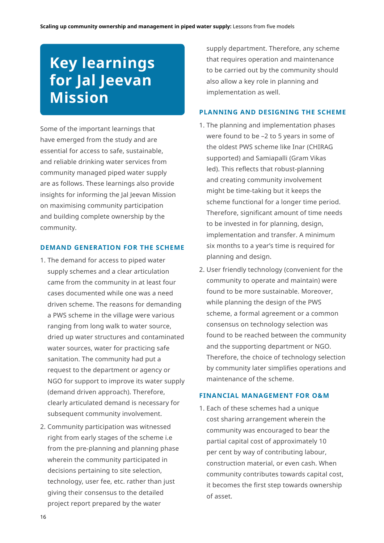# **Key learnings for Jal Jeevan Mission**

Some of the important learnings that have emerged from the study and are essential for access to safe, sustainable, and reliable drinking water services from community managed piped water supply are as follows. These learnings also provide insights for informing the Jal Jeevan Mission on maximising community participation and building complete ownership by the community.

### **DEMAND GENERATION FOR THE SCHEME**

- 1. The demand for access to piped water supply schemes and a clear articulation came from the community in at least four cases documented while one was a need driven scheme. The reasons for demanding a PWS scheme in the village were various ranging from long walk to water source, dried up water structures and contaminated water sources, water for practicing safe sanitation. The community had put a request to the department or agency or NGO for support to improve its water supply (demand driven approach). Therefore, clearly articulated demand is necessary for subsequent community involvement.
- 2. Community participation was witnessed right from early stages of the scheme i.e from the pre-planning and planning phase wherein the community participated in decisions pertaining to site selection, technology, user fee, etc. rather than just giving their consensus to the detailed project report prepared by the water

supply department. Therefore, any scheme that requires operation and maintenance to be carried out by the community should also allow a key role in planning and implementation as well.

## **PLANNING AND DESIGNING THE SCHEME**

- 1. The planning and implementation phases were found to be –2 to 5 years in some of the oldest PWS scheme like Inar (CHIRAG supported) and Samiapalli (Gram Vikas led). This reflects that robust-planning and creating community involvement might be time-taking but it keeps the scheme functional for a longer time period. Therefore, significant amount of time needs to be invested in for planning, design, implementation and transfer. A minimum six months to a year's time is required for planning and design.
- 2. User friendly technology (convenient for the community to operate and maintain) were found to be more sustainable. Moreover, while planning the design of the PWS scheme, a formal agreement or a common consensus on technology selection was found to be reached between the community and the supporting department or NGO. Therefore, the choice of technology selection by community later simplifies operations and maintenance of the scheme.

#### **FINANCIAL MANAGEMENT FOR O&M**

1. Each of these schemes had a unique cost sharing arrangement wherein the community was encouraged to bear the partial capital cost of approximately 10 per cent by way of contributing labour, construction material, or even cash. When community contributes towards capital cost, it becomes the first step towards ownership of asset.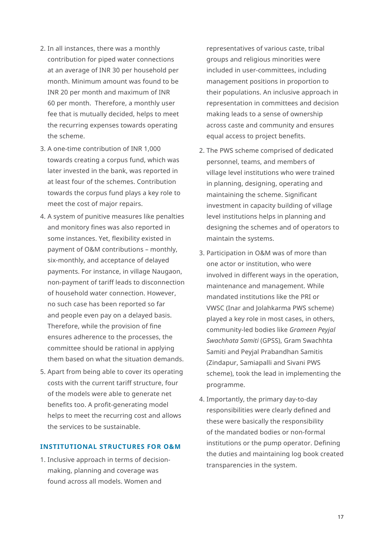- 2. In all instances, there was a monthly contribution for piped water connections at an average of INR 30 per household per month. Minimum amount was found to be INR 20 per month and maximum of INR 60 per month. Therefore, a monthly user fee that is mutually decided, helps to meet the recurring expenses towards operating the scheme.
- 3. A one-time contribution of INR 1,000 towards creating a corpus fund, which was later invested in the bank, was reported in at least four of the schemes. Contribution towards the corpus fund plays a key role to meet the cost of major repairs.
- 4. A system of punitive measures like penalties and monitory fines was also reported in some instances. Yet, flexibility existed in payment of O&M contributions – monthly, six-monthly, and acceptance of delayed payments. For instance, in village Naugaon, non-payment of tariff leads to disconnection of household water connection. However, no such case has been reported so far and people even pay on a delayed basis. Therefore, while the provision of fine ensures adherence to the processes, the committee should be rational in applying them based on what the situation demands.
- 5. Apart from being able to cover its operating costs with the current tariff structure, four of the models were able to generate net benefits too. A profit-generating model helps to meet the recurring cost and allows the services to be sustainable.

## **INSTITUTIONAL STRUCTURES FOR O&M**

1. Inclusive approach in terms of decisionmaking, planning and coverage was found across all models. Women and

representatives of various caste, tribal groups and religious minorities were included in user-committees, including management positions in proportion to their populations. An inclusive approach in representation in committees and decision making leads to a sense of ownership across caste and community and ensures equal access to project benefits.

- 2. The PWS scheme comprised of dedicated personnel, teams, and members of village level institutions who were trained in planning, designing, operating and maintaining the scheme. Significant investment in capacity building of village level institutions helps in planning and designing the schemes and of operators to maintain the systems.
- 3. Participation in O&M was of more than one actor or institution, who were involved in different ways in the operation, maintenance and management. While mandated institutions like the PRI or VWSC (Inar and Jolahkarma PWS scheme) played a key role in most cases, in others, community-led bodies like *Grameen Peyjal Swachhata Samiti* (GPSS), Gram Swachhta Samiti and Peyjal Prabandhan Samitis (Zindapur, Samiapalli and Sivani PWS scheme), took the lead in implementing the programme.
- 4. Importantly, the primary day-to-day responsibilities were clearly defined and these were basically the responsibility of the mandated bodies or non-formal institutions or the pump operator. Defining the duties and maintaining log book created transparencies in the system.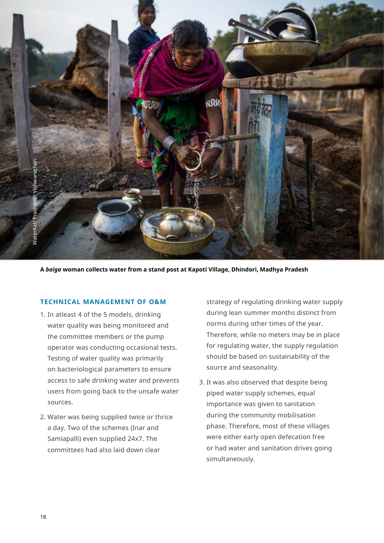

**A** *baiga* **woman collects water from a stand post at Kapoti Village, Dhindori, Madhya Pradesh**

## **TECHNICAL MANAGEMENT OF O&M**

- 1. In atleast 4 of the 5 models, drinking water quality was being monitored and the committee members or the pump operator was conducting occasional tests. Testing of water quality was primarily on bacteriological parameters to ensure access to safe drinking water and prevents users from going back to the unsafe water sources.
- 2. Water was being supplied twice or thrice a day. Two of the schemes (Inar and Samiapalli) even supplied 24x7. The committees had also laid down clear

strategy of regulating drinking water supply during lean summer months distinct from norms during other times of the year. Therefore, while no meters may be in place for regulating water, the supply regulation should be based on sustainability of the source and seasonality.

3. It was also observed that despite being piped water supply schemes, equal importance was given to sanitation during the community mobilisation phase. Therefore, most of these villages were either early open defecation free or had water and sanitation drives going simultaneously.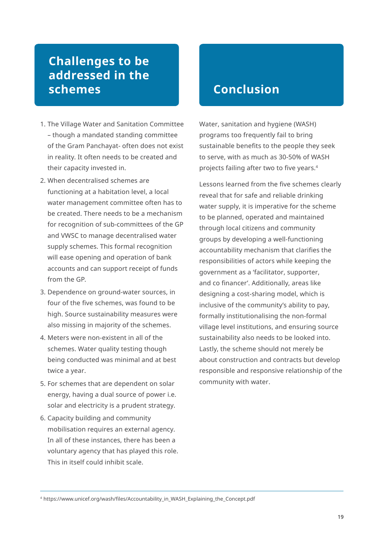## **Challenges to be addressed in the schemes**

- 1. The Village Water and Sanitation Committee – though a mandated standing committee of the Gram Panchayat- often does not exist in reality. It often needs to be created and their capacity invested in.
- 2. When decentralised schemes are functioning at a habitation level, a local water management committee often has to be created. There needs to be a mechanism for recognition of sub-committees of the GP and VWSC to manage decentralised water supply schemes. This formal recognition will ease opening and operation of bank accounts and can support receipt of funds from the GP.
- 3. Dependence on ground-water sources, in four of the five schemes, was found to be high. Source sustainability measures were also missing in majority of the schemes.
- 4. Meters were non-existent in all of the schemes. Water quality testing though being conducted was minimal and at best twice a year.
- 5. For schemes that are dependent on solar energy, having a dual source of power i.e. solar and electricity is a prudent strategy.
- 6. Capacity building and community mobilisation requires an external agency. In all of these instances, there has been a voluntary agency that has played this role. This in itself could inhibit scale.

## **Conclusion**

Water, sanitation and hygiene (WASH) programs too frequently fail to bring sustainable benefits to the people they seek to serve, with as much as 30-50% of WASH projects failing after two to five years.4

Lessons learned from the five schemes clearly reveal that for safe and reliable drinking water supply, it is imperative for the scheme to be planned, operated and maintained through local citizens and community groups by developing a well-functioning accountability mechanism that clarifies the responsibilities of actors while keeping the government as a 'facilitator, supporter, and co financer'. Additionally, areas like designing a cost-sharing model, which is inclusive of the community's ability to pay, formally institutionalising the non-formal village level institutions, and ensuring source sustainability also needs to be looked into. Lastly, the scheme should not merely be about construction and contracts but develop responsible and responsive relationship of the community with water.

<sup>4</sup> https://www.unicef.org/wash/files/Accountability\_in\_WASH\_Explaining\_the\_Concept.pdf